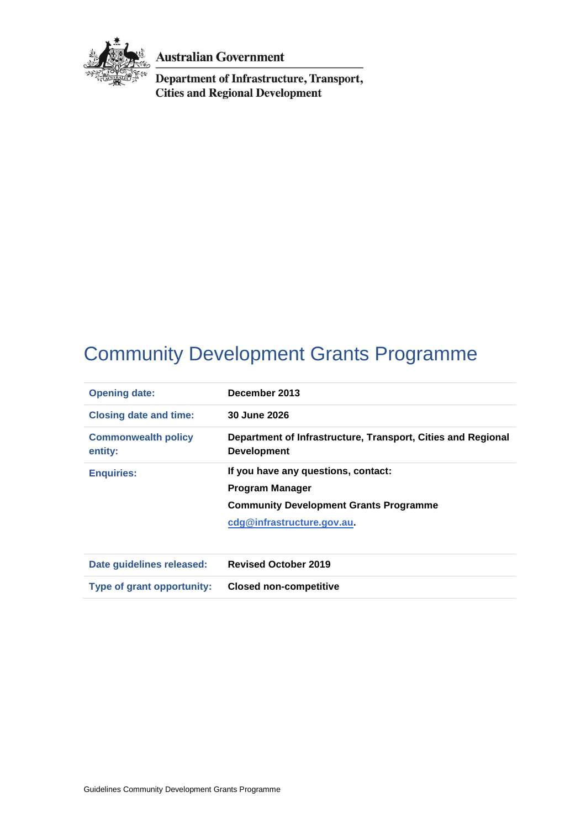

**Australian Government** 

**Department of Infrastructure, Transport, Cities and Regional Development** 

# Community Development Grants Programme

| <b>Opening date:</b>                  | December 2013                                                                      |
|---------------------------------------|------------------------------------------------------------------------------------|
| <b>Closing date and time:</b>         | 30 June 2026                                                                       |
| <b>Commonwealth policy</b><br>entity: | Department of Infrastructure, Transport, Cities and Regional<br><b>Development</b> |
| <b>Enquiries:</b>                     | If you have any questions, contact:                                                |
|                                       | Program Manager                                                                    |
|                                       | <b>Community Development Grants Programme</b>                                      |
|                                       | cdg@infrastructure.gov.au                                                          |
|                                       |                                                                                    |
| Date quidelines released:             | <b>Revised October 2019</b>                                                        |

**Type of grant opportunity: Closed non-competitive**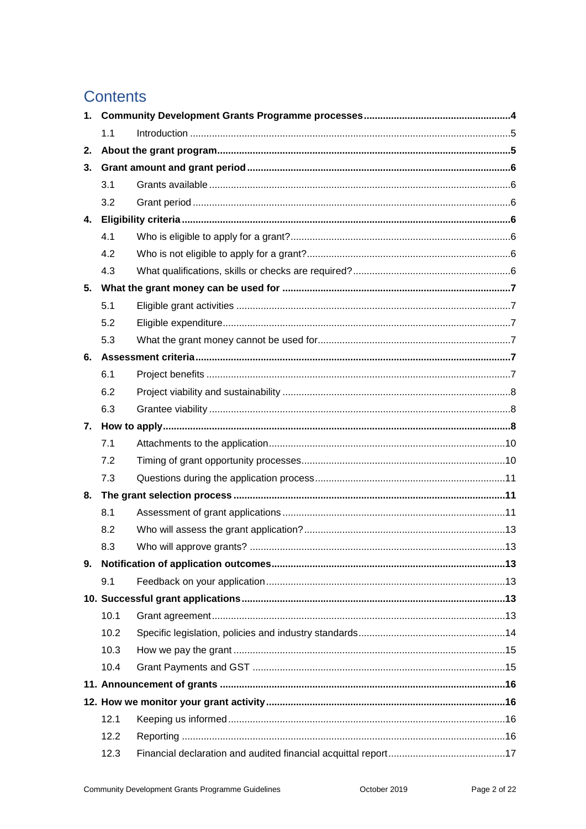## **Contents**

| 1. |      |  |  |
|----|------|--|--|
|    | 1.1  |  |  |
| 2. |      |  |  |
| 3. |      |  |  |
|    | 3.1  |  |  |
|    | 3.2  |  |  |
| 4. |      |  |  |
|    | 4.1  |  |  |
|    | 4.2  |  |  |
|    | 4.3  |  |  |
| 5. |      |  |  |
|    | 5.1  |  |  |
|    | 5.2  |  |  |
|    | 5.3  |  |  |
| 6. |      |  |  |
|    | 6.1  |  |  |
|    | 6.2  |  |  |
|    | 6.3  |  |  |
|    |      |  |  |
|    | 7.1  |  |  |
|    | 7.2  |  |  |
|    | 7.3  |  |  |
| 8. |      |  |  |
|    | 8.1  |  |  |
|    | 8.2  |  |  |
|    | 8.3  |  |  |
|    |      |  |  |
|    | 9.1  |  |  |
|    |      |  |  |
|    | 10.1 |  |  |
|    | 10.2 |  |  |
|    | 10.3 |  |  |
|    | 10.4 |  |  |
|    |      |  |  |
|    |      |  |  |
|    | 12.1 |  |  |
|    | 12.2 |  |  |
|    | 12.3 |  |  |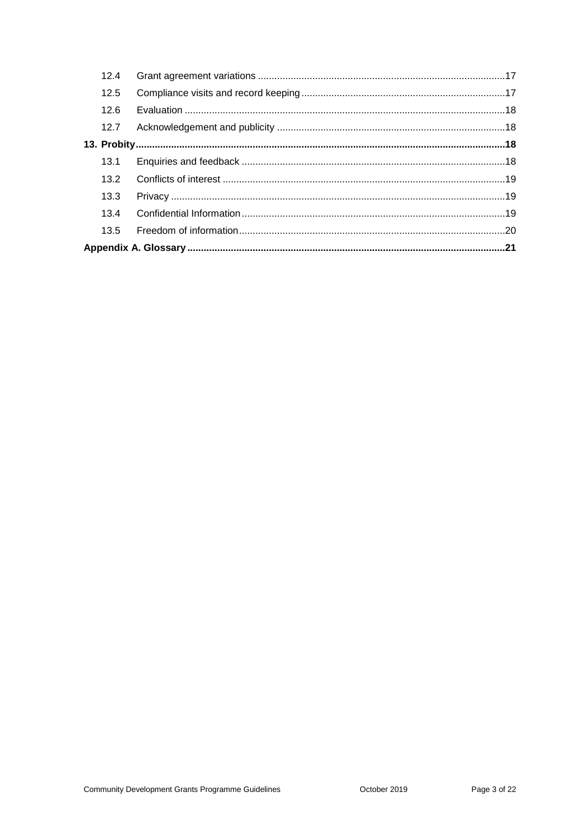| 12.4 |  |
|------|--|
| 12.5 |  |
| 12.6 |  |
| 12.7 |  |
|      |  |
|      |  |
| 13.2 |  |
| 13.3 |  |
| 13.4 |  |
| 13.5 |  |
|      |  |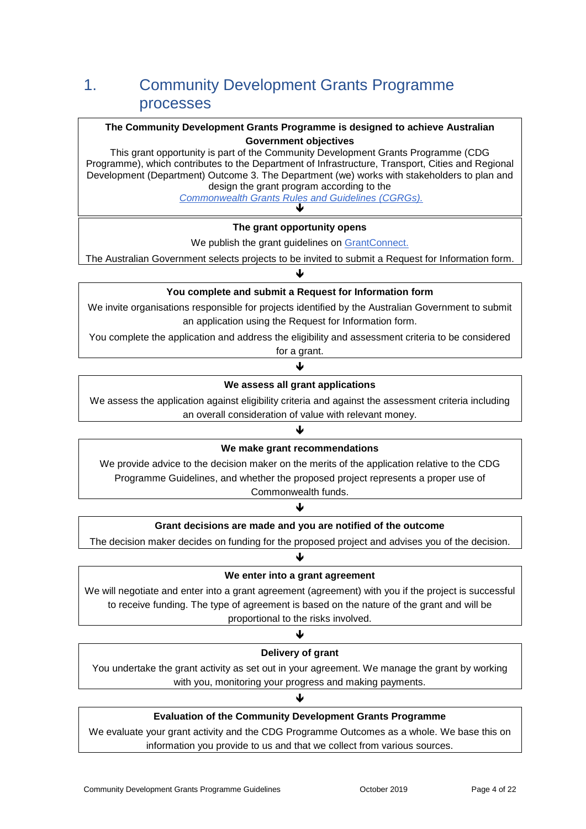## 1. Community Development Grants Programme processes

#### **The Community Development Grants Programme is designed to achieve Australian Government objectives**

This grant opportunity is part of the Community Development Grants Programme (CDG Programme), which contributes to the Department of Infrastructure, Transport, Cities and Regional Development (Department) Outcome 3. The Department (we) works with stakeholders to plan and design the grant program according to the

*[Commonwealth Grants Rules and Guidelines](https://www.finance.gov.au/sites/default/files/commonwealth-grants-rules-and-guidelines.pdf) (CGRGs).*  $\blacktriangledown$ 

#### **The grant opportunity opens**

We publish the grant guidelines on [GrantConnect.](http://www.grants.gov.au/)

The Australian Government selects projects to be invited to submit a Request for Information form. J

#### **You complete and submit a Request for Information form**

We invite organisations responsible for projects identified by the Australian Government to submit an application using the Request for Information form.

You complete the application and address the eligibility and assessment criteria to be considered for a grant.

↓

#### **We assess all grant applications**

We assess the application against eligibility criteria and against the assessment criteria including an overall consideration of value with relevant money.

## ↓ **We make grant recommendations**

We provide advice to the decision maker on the merits of the application relative to the CDG Programme Guidelines, and whether the proposed project represents a proper use of Commonwealth funds.

↓

### **Grant decisions are made and you are notified of the outcome**

The decision maker decides on funding for the proposed project and advises you of the decision. ↓

#### **We enter into a grant agreement**

We will negotiate and enter into a grant agreement (agreement) with you if the project is successful to receive funding. The type of agreement is based on the nature of the grant and will be proportional to the risks involved.

#### J

#### **Delivery of grant**

You undertake the grant activity as set out in your agreement. We manage the grant by working with you, monitoring your progress and making payments.

#### J

#### **Evaluation of the Community Development Grants Programme**

We evaluate your grant activity and the CDG Programme Outcomes as a whole. We base this on information you provide to us and that we collect from various sources.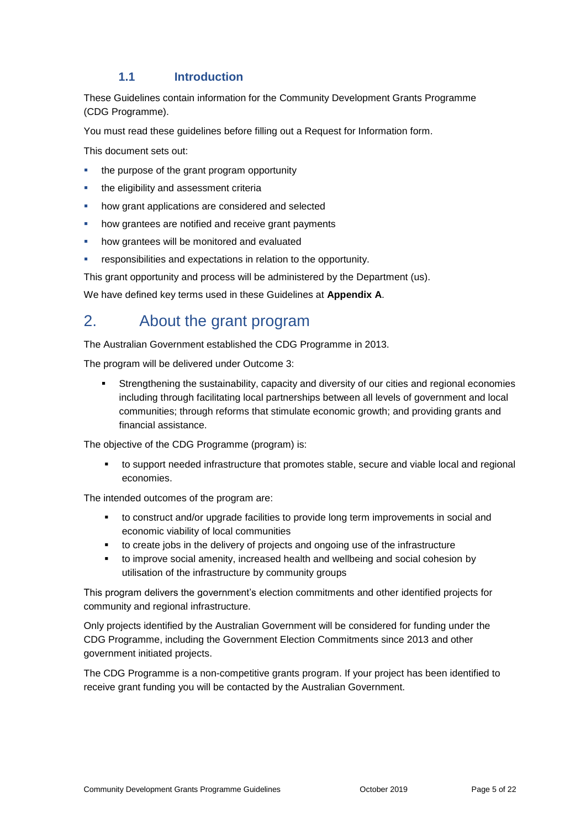#### **1.1 Introduction**

These Guidelines contain information for the Community Development Grants Programme (CDG Programme).

You must read these guidelines before filling out a Request for Information form.

This document sets out:

- the purpose of the grant program opportunity
- the eligibility and assessment criteria
- how grant applications are considered and selected
- how grantees are notified and receive grant payments
- how grantees will be monitored and evaluated
- responsibilities and expectations in relation to the opportunity.

This grant opportunity and process will be administered by the Department (us).

We have defined key terms used in these Guidelines at **Appendix A**.

## 2. About the grant program

The Australian Government established the CDG Programme in 2013.

The program will be delivered under Outcome 3:

 Strengthening the sustainability, capacity and diversity of our cities and regional economies including through facilitating local partnerships between all levels of government and local communities; through reforms that stimulate economic growth; and providing grants and financial assistance.

The objective of the CDG Programme (program) is:

 to support needed infrastructure that promotes stable, secure and viable local and regional economies.

The intended outcomes of the program are:

- to construct and/or upgrade facilities to provide long term improvements in social and economic viability of local communities
- to create jobs in the delivery of projects and ongoing use of the infrastructure
- to improve social amenity, increased health and wellbeing and social cohesion by utilisation of the infrastructure by community groups

This program delivers the government's election commitments and other identified projects for community and regional infrastructure.

Only projects identified by the Australian Government will be considered for funding under the CDG Programme, including the Government Election Commitments since 2013 and other government initiated projects.

The CDG Programme is a non-competitive grants program. If your project has been identified to receive grant funding you will be contacted by the Australian Government.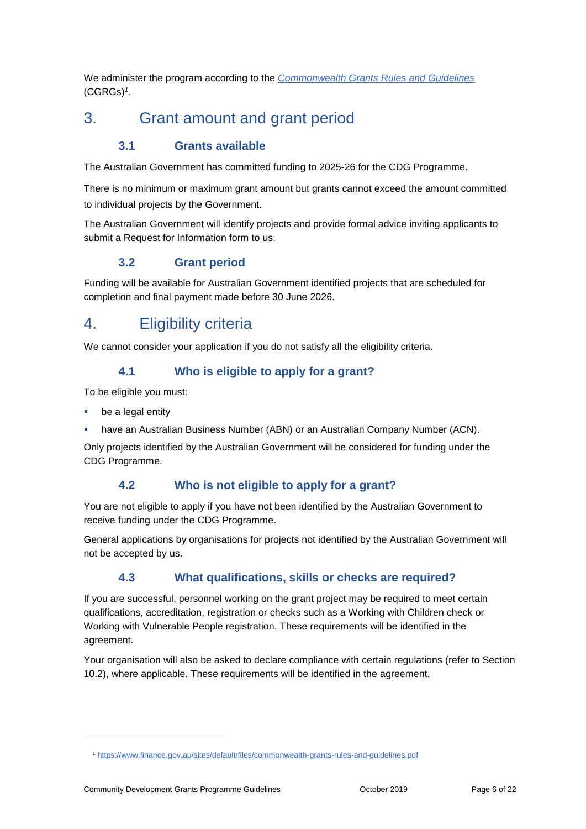We administer the program according to the *[Commonwealth Grants Rules and Guidelines](https://www.finance.gov.au/sites/default/files/commonwealth-grants-rules-and-guidelines.pdf)* (CGRGs)*<sup>1</sup> .*

## 3. Grant amount and grant period

## **3.1 Grants available**

The Australian Government has committed funding to 2025-26 for the CDG Programme.

There is no minimum or maximum grant amount but grants cannot exceed the amount committed to individual projects by the Government.

The Australian Government will identify projects and provide formal advice inviting applicants to submit a Request for Information form to us.

### **3.2 Grant period**

Funding will be available for Australian Government identified projects that are scheduled for completion and final payment made before 30 June 2026.

## 4. Eligibility criteria

We cannot consider your application if you do not satisfy all the eligibility criteria.

#### **4.1 Who is eligible to apply for a grant?**

To be eligible you must:

be a legal entity

-

have an Australian Business Number (ABN) or an Australian Company Number (ACN).

Only projects identified by the Australian Government will be considered for funding under the CDG Programme.

### **4.2 Who is not eligible to apply for a grant?**

You are not eligible to apply if you have not been identified by the Australian Government to receive funding under the CDG Programme.

General applications by organisations for projects not identified by the Australian Government will not be accepted by us.

## **4.3 What qualifications, skills or checks are required?**

If you are successful, personnel working on the grant project may be required to meet certain qualifications, accreditation, registration or checks such as a Working with Children check or Working with Vulnerable People registration. These requirements will be identified in the agreement.

Your organisation will also be asked to declare compliance with certain regulations (refer to Section 10.2), where applicable. These requirements will be identified in the agreement.

<sup>1</sup> <https://www.finance.gov.au/sites/default/files/commonwealth-grants-rules-and-guidelines.pdf>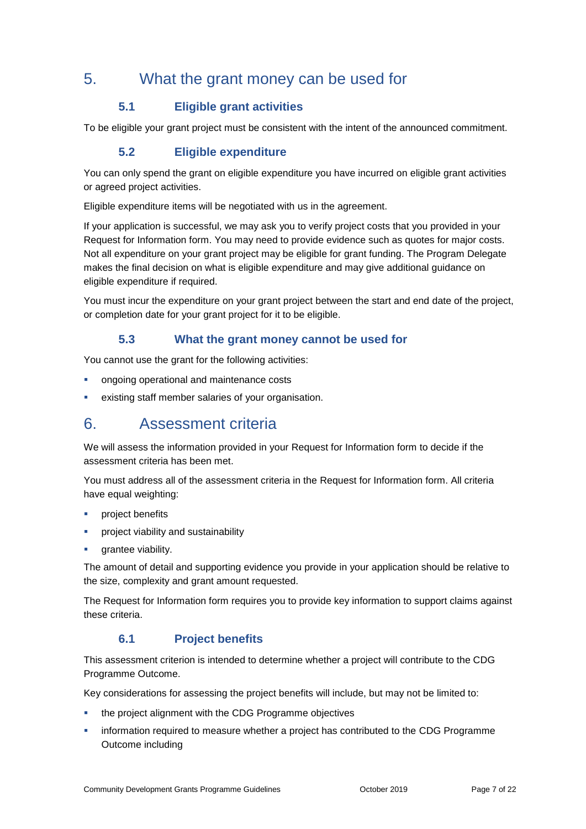## 5. What the grant money can be used for

## **5.1 Eligible grant activities**

To be eligible your grant project must be consistent with the intent of the announced commitment.

### **5.2 Eligible expenditure**

You can only spend the grant on eligible expenditure you have incurred on eligible grant activities or agreed project activities.

Eligible expenditure items will be negotiated with us in the agreement.

If your application is successful, we may ask you to verify project costs that you provided in your Request for Information form. You may need to provide evidence such as quotes for major costs. Not all expenditure on your grant project may be eligible for grant funding. The Program Delegate makes the final decision on what is eligible expenditure and may give additional guidance on eligible expenditure if required.

You must incur the expenditure on your grant project between the start and end date of the project, or completion date for your grant project for it to be eligible.

### **5.3 What the grant money cannot be used for**

You cannot use the grant for the following activities:

- ongoing operational and maintenance costs
- existing staff member salaries of your organisation.

## 6. Assessment criteria

We will assess the information provided in your Request for Information form to decide if the assessment criteria has been met.

You must address all of the assessment criteria in the Request for Information form. All criteria have equal weighting:

- project benefits
- **•** project viability and sustainability
- grantee viability.

The amount of detail and supporting evidence you provide in your application should be relative to the size, complexity and grant amount requested.

The Request for Information form requires you to provide key information to support claims against these criteria.

#### **6.1 Project benefits**

This assessment criterion is intended to determine whether a project will contribute to the CDG Programme Outcome.

Key considerations for assessing the project benefits will include, but may not be limited to:

- the project alignment with the CDG Programme objectives
- information required to measure whether a project has contributed to the CDG Programme Outcome including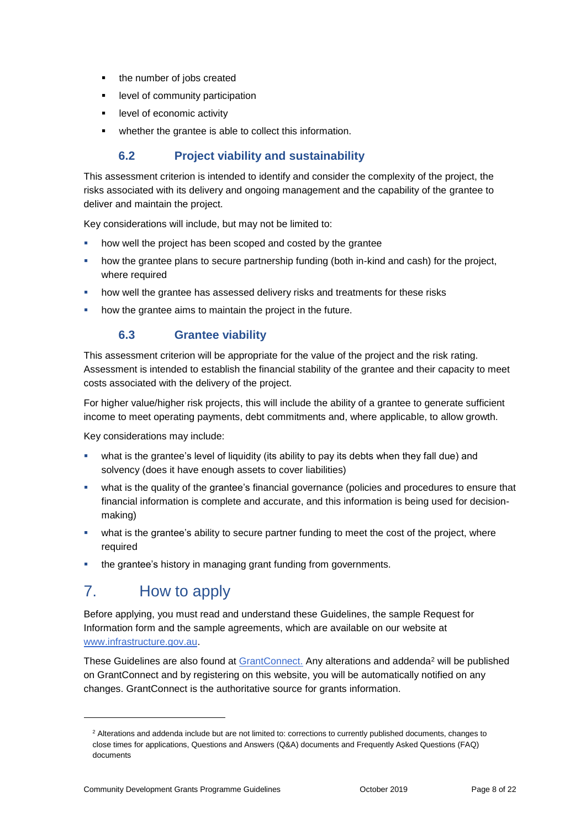- the number of jobs created
- **EXECUTE:** level of community participation
- **EXECO** level of economic activity
- whether the grantee is able to collect this information.

### **6.2 Project viability and sustainability**

This assessment criterion is intended to identify and consider the complexity of the project, the risks associated with its delivery and ongoing management and the capability of the grantee to deliver and maintain the project.

Key considerations will include, but may not be limited to:

- how well the project has been scoped and costed by the grantee
- how the grantee plans to secure partnership funding (both in-kind and cash) for the project, where required
- how well the grantee has assessed delivery risks and treatments for these risks
- how the grantee aims to maintain the project in the future.

## **6.3 Grantee viability**

This assessment criterion will be appropriate for the value of the project and the risk rating. Assessment is intended to establish the financial stability of the grantee and their capacity to meet costs associated with the delivery of the project.

For higher value/higher risk projects, this will include the ability of a grantee to generate sufficient income to meet operating payments, debt commitments and, where applicable, to allow growth.

Key considerations may include:

- what is the grantee's level of liquidity (its ability to pay its debts when they fall due) and solvency (does it have enough assets to cover liabilities)
- what is the quality of the grantee's financial governance (policies and procedures to ensure that financial information is complete and accurate, and this information is being used for decisionmaking)
- what is the grantee's ability to secure partner funding to meet the cost of the project, where required
- the grantee's history in managing grant funding from governments.

## 7. How to apply

1

Before applying, you must read and understand these Guidelines, the sample Request for Information form and the sample agreements, which are available on our website at [www.infrastructure.gov.au.](https://www.regional.gov.au/regional/programs/community-development-grants.aspx)

These Guidelines are also found at [GrantConnect.](http://www.grants.gov.au/) Any alterations and addenda<sup>2</sup> will be published on GrantConnect and by registering on this website, you will be automatically notified on any changes. GrantConnect is the authoritative source for grants information.

<sup>2</sup> Alterations and addenda include but are not limited to: corrections to currently published documents, changes to close times for applications, Questions and Answers (Q&A) documents and Frequently Asked Questions (FAQ) documents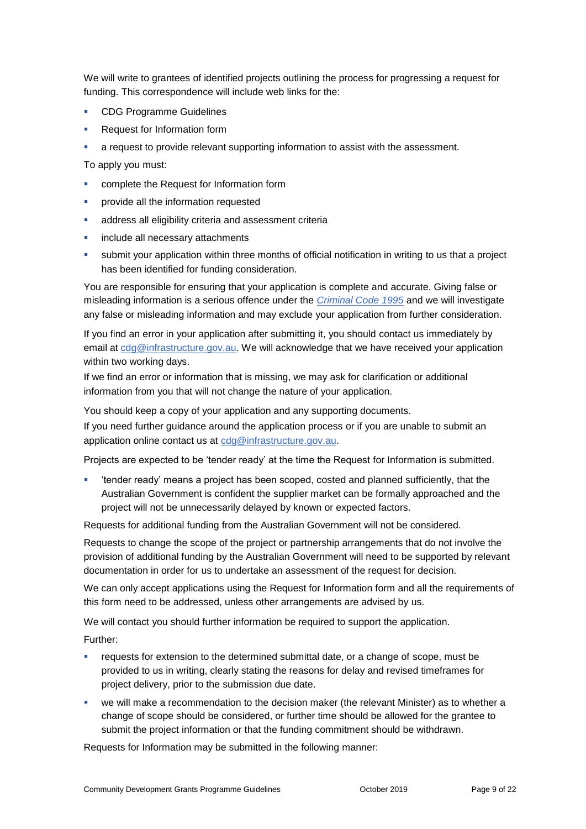We will write to grantees of identified projects outlining the process for progressing a request for funding. This correspondence will include web links for the:

- **CDG Programme Guidelines**
- **Request for Information form**
- a request to provide relevant supporting information to assist with the assessment.

To apply you must:

- complete the Request for Information form
- provide all the information requested
- address all eligibility criteria and assessment criteria
- include all necessary attachments
- submit your application within three months of official notification in writing to us that a project has been identified for funding consideration.

You are responsible for ensuring that your application is complete and accurate. Giving false or misleading information is a serious offence under the *[Criminal Code 1995](http://www8.austlii.edu.au/cgi-bin/viewdoc/au/legis/cth/consol_act/cca1995115/sch1.html)* and we will investigate any false or misleading information and may exclude your application from further consideration.

If you find an error in your application after submitting it, you should contact us immediately by email at [cdg@infrastructure.gov.au.](mailto:cdg@infrastructure.gov.au) We will acknowledge that we have received your application within two working days.

If we find an error or information that is missing, we may ask for clarification or additional information from you that will not change the nature of your application.

You should keep a copy of your application and any supporting documents.

If you need further guidance around the application process or if you are unable to submit an application online contact us at [cdg@infrastructure.gov.au.](mailto:cdg@infrastructure.gov.au)

Projects are expected to be 'tender ready' at the time the Request for Information is submitted.

 'tender ready' means a project has been scoped, costed and planned sufficiently, that the Australian Government is confident the supplier market can be formally approached and the project will not be unnecessarily delayed by known or expected factors.

Requests for additional funding from the Australian Government will not be considered.

Requests to change the scope of the project or partnership arrangements that do not involve the provision of additional funding by the Australian Government will need to be supported by relevant documentation in order for us to undertake an assessment of the request for decision.

We can only accept applications using the Request for Information form and all the requirements of this form need to be addressed, unless other arrangements are advised by us.

We will contact you should further information be required to support the application.

Further:

- requests for extension to the determined submittal date, or a change of scope, must be provided to us in writing, clearly stating the reasons for delay and revised timeframes for project delivery, prior to the submission due date.
- we will make a recommendation to the decision maker (the relevant Minister) as to whether a change of scope should be considered, or further time should be allowed for the grantee to submit the project information or that the funding commitment should be withdrawn.

Requests for Information may be submitted in the following manner: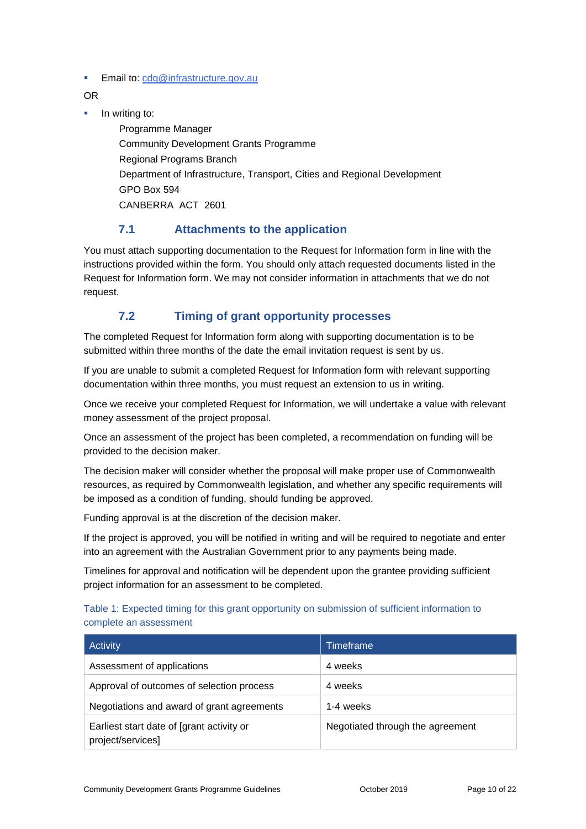**Email to: [cdg@infrastructure.gov.au](mailto:cdg@infrastructure.gov.au)** 

OR

 $\blacksquare$  In writing to:

Programme Manager Community Development Grants Programme Regional Programs Branch Department of Infrastructure, Transport, Cities and Regional Development GPO Box 594 CANBERRA ACT 2601

### **7.1 Attachments to the application**

You must attach supporting documentation to the Request for Information form in line with the instructions provided within the form. You should only attach requested documents listed in the Request for Information form. We may not consider information in attachments that we do not request.

## **7.2 Timing of grant opportunity processes**

The completed Request for Information form along with supporting documentation is to be submitted within three months of the date the email invitation request is sent by us.

If you are unable to submit a completed Request for Information form with relevant supporting documentation within three months, you must request an extension to us in writing.

Once we receive your completed Request for Information, we will undertake a value with relevant money assessment of the project proposal.

Once an assessment of the project has been completed, a recommendation on funding will be provided to the decision maker.

The decision maker will consider whether the proposal will make proper use of Commonwealth resources, as required by Commonwealth legislation, and whether any specific requirements will be imposed as a condition of funding, should funding be approved.

Funding approval is at the discretion of the decision maker.

If the project is approved, you will be notified in writing and will be required to negotiate and enter into an agreement with the Australian Government prior to any payments being made.

Timelines for approval and notification will be dependent upon the grantee providing sufficient project information for an assessment to be completed.

#### Table 1: Expected timing for this grant opportunity on submission of sufficient information to complete an assessment

| Activity                                                       | Timeframe                        |
|----------------------------------------------------------------|----------------------------------|
| Assessment of applications                                     | 4 weeks                          |
| Approval of outcomes of selection process                      | 4 weeks                          |
| Negotiations and award of grant agreements                     | 1-4 weeks                        |
| Earliest start date of [grant activity or<br>project/services] | Negotiated through the agreement |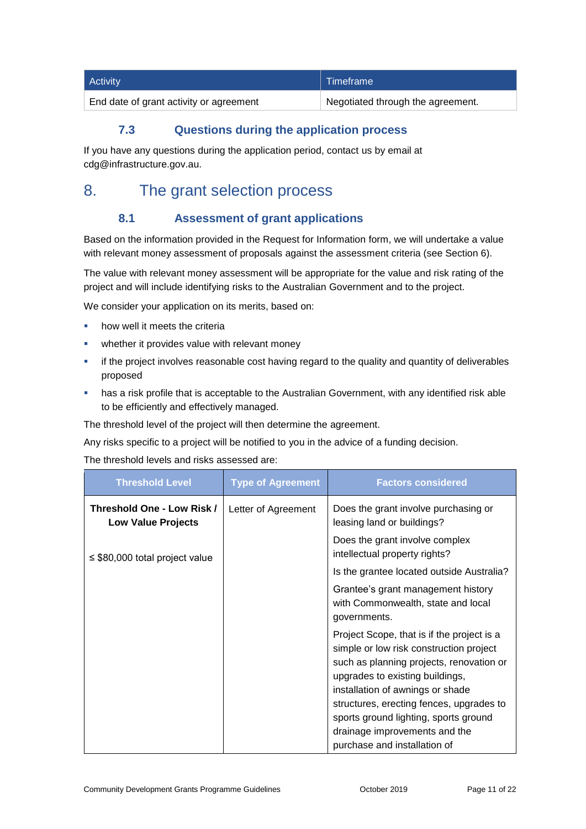| Activity                                | Timeframe                         |
|-----------------------------------------|-----------------------------------|
| End date of grant activity or agreement | Negotiated through the agreement. |

## **7.3 Questions during the application process**

If you have any questions during the application period, contact us by email at cdg@infrastructure.gov.au.

## 8. The grant selection process

## **8.1 Assessment of grant applications**

Based on the information provided in the Request for Information form, we will undertake a value with relevant money assessment of proposals against the assessment criteria (see Section 6).

The value with relevant money assessment will be appropriate for the value and risk rating of the project and will include identifying risks to the Australian Government and to the project.

We consider your application on its merits, based on:

- how well it meets the criteria
- whether it provides value with relevant money
- if the project involves reasonable cost having regard to the quality and quantity of deliverables proposed
- has a risk profile that is acceptable to the Australian Government, with any identified risk able to be efficiently and effectively managed.

The threshold level of the project will then determine the agreement.

Any risks specific to a project will be notified to you in the advice of a funding decision.

The threshold levels and risks assessed are:

| <b>Threshold Level</b>                                  | <b>Type of Agreement</b> | <b>Factors considered</b>                                                                                                                                                                                                                                                                                                                                      |
|---------------------------------------------------------|--------------------------|----------------------------------------------------------------------------------------------------------------------------------------------------------------------------------------------------------------------------------------------------------------------------------------------------------------------------------------------------------------|
| Threshold One - Low Risk /<br><b>Low Value Projects</b> | Letter of Agreement      | Does the grant involve purchasing or<br>leasing land or buildings?                                                                                                                                                                                                                                                                                             |
| $\leq$ \$80,000 total project value                     |                          | Does the grant involve complex<br>intellectual property rights?                                                                                                                                                                                                                                                                                                |
|                                                         |                          | Is the grantee located outside Australia?                                                                                                                                                                                                                                                                                                                      |
|                                                         |                          | Grantee's grant management history<br>with Commonwealth, state and local<br>governments.                                                                                                                                                                                                                                                                       |
|                                                         |                          | Project Scope, that is if the project is a<br>simple or low risk construction project<br>such as planning projects, renovation or<br>upgrades to existing buildings,<br>installation of awnings or shade<br>structures, erecting fences, upgrades to<br>sports ground lighting, sports ground<br>drainage improvements and the<br>purchase and installation of |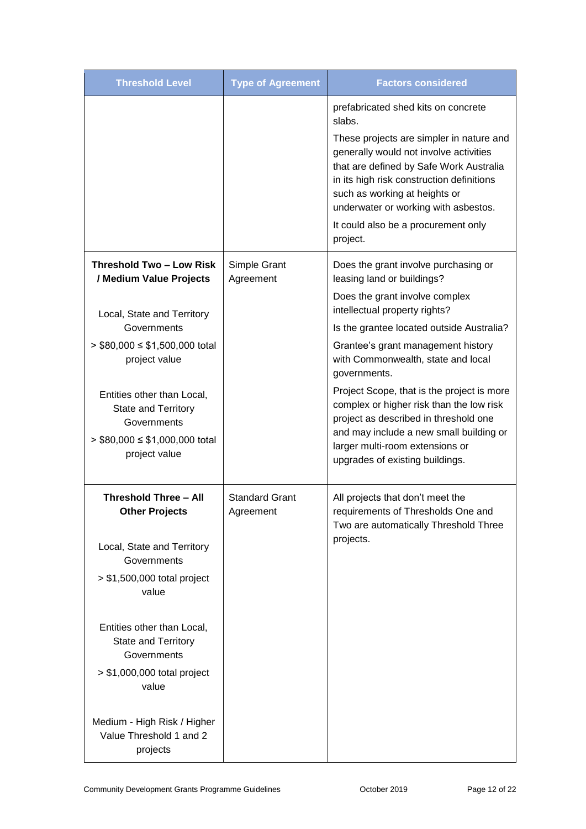| <b>Threshold Level</b>                                                  | <b>Type of Agreement</b>           | <b>Factors considered</b>                                                                                                                                     |
|-------------------------------------------------------------------------|------------------------------------|---------------------------------------------------------------------------------------------------------------------------------------------------------------|
|                                                                         |                                    | prefabricated shed kits on concrete<br>slabs.<br>These projects are simpler in nature and<br>generally would not involve activities                           |
|                                                                         |                                    | that are defined by Safe Work Australia<br>in its high risk construction definitions<br>such as working at heights or<br>underwater or working with asbestos. |
|                                                                         |                                    | It could also be a procurement only<br>project.                                                                                                               |
| Threshold Two - Low Risk<br>/ Medium Value Projects                     | Simple Grant<br>Agreement          | Does the grant involve purchasing or<br>leasing land or buildings?                                                                                            |
| Local, State and Territory                                              |                                    | Does the grant involve complex<br>intellectual property rights?                                                                                               |
| Governments                                                             |                                    | Is the grantee located outside Australia?                                                                                                                     |
| $>$ \$80,000 $\le$ \$1,500,000 total<br>project value                   |                                    | Grantee's grant management history<br>with Commonwealth, state and local<br>governments.                                                                      |
| Entities other than Local,<br><b>State and Territory</b><br>Governments |                                    | Project Scope, that is the project is more<br>complex or higher risk than the low risk<br>project as described in threshold one                               |
| $>$ \$80,000 $\le$ \$1,000,000 total<br>project value                   |                                    | and may include a new small building or<br>larger multi-room extensions or<br>upgrades of existing buildings.                                                 |
| <b>Threshold Three - All</b><br><b>Other Projects</b>                   | <b>Standard Grant</b><br>Agreement | All projects that don't meet the<br>requirements of Thresholds One and<br>Two are automatically Threshold Three                                               |
| Local, State and Territory<br>Governments                               |                                    | projects.                                                                                                                                                     |
| $> $1,500,000$ total project<br>value                                   |                                    |                                                                                                                                                               |
| Entities other than Local,<br>State and Territory<br>Governments        |                                    |                                                                                                                                                               |
| $> $1,000,000$ total project<br>value                                   |                                    |                                                                                                                                                               |
| Medium - High Risk / Higher<br>Value Threshold 1 and 2<br>projects      |                                    |                                                                                                                                                               |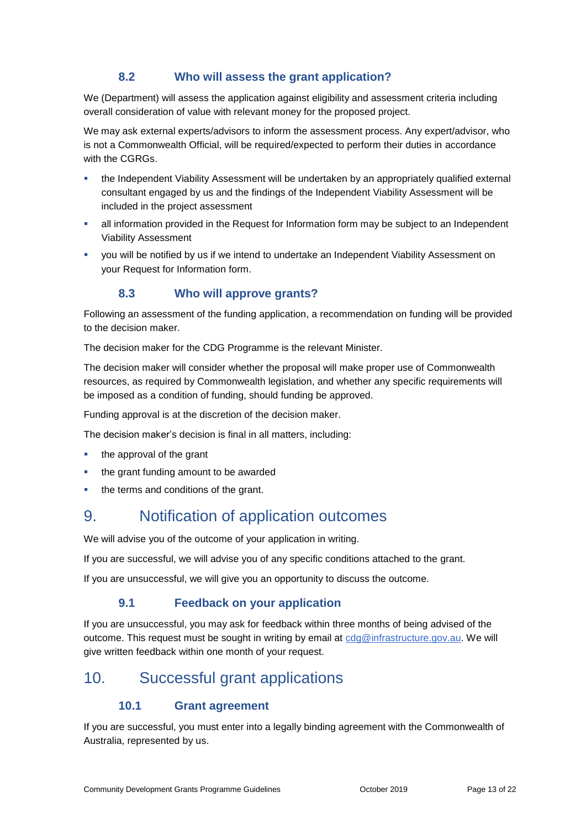### **8.2 Who will assess the grant application?**

We (Department) will assess the application against eligibility and assessment criteria including overall consideration of value with relevant money for the proposed project.

We may ask external experts/advisors to inform the assessment process. Any expert/advisor, who is not a Commonwealth Official, will be required/expected to perform their duties in accordance with the CGRGs.

- the Independent Viability Assessment will be undertaken by an appropriately qualified external consultant engaged by us and the findings of the Independent Viability Assessment will be included in the project assessment
- all information provided in the Request for Information form may be subject to an Independent Viability Assessment
- you will be notified by us if we intend to undertake an Independent Viability Assessment on your Request for Information form.

### **8.3 Who will approve grants?**

Following an assessment of the funding application, a recommendation on funding will be provided to the decision maker.

The decision maker for the CDG Programme is the relevant Minister.

The decision maker will consider whether the proposal will make proper use of Commonwealth resources, as required by Commonwealth legislation, and whether any specific requirements will be imposed as a condition of funding, should funding be approved.

Funding approval is at the discretion of the decision maker.

The decision maker's decision is final in all matters, including:

- $\blacksquare$  the approval of the grant
- the grant funding amount to be awarded
- the terms and conditions of the grant.

## 9. Notification of application outcomes

We will advise you of the outcome of your application in writing.

If you are successful, we will advise you of any specific conditions attached to the grant.

If you are unsuccessful, we will give you an opportunity to discuss the outcome.

#### **9.1 Feedback on your application**

If you are unsuccessful, you may ask for feedback within three months of being advised of the outcome. This request must be sought in writing by email at [cdg@infrastructure.gov.au.](mailto:cdg@infrastructure.gov.au) We will give written feedback within one month of your request.

## 10. Successful grant applications

### **10.1 Grant agreement**

If you are successful, you must enter into a legally binding agreement with the Commonwealth of Australia, represented by us.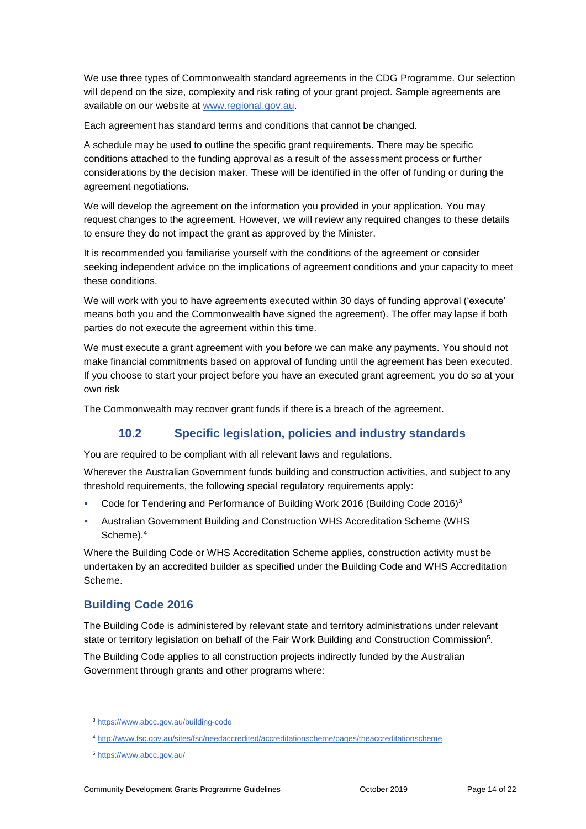We use three types of Commonwealth standard agreements in the CDG Programme. Our selection will depend on the size, complexity and risk rating of your grant project. Sample agreements are available on our website at [www.regional.gov.au.](http://www.regional.gov.au/)

Each agreement has standard terms and conditions that cannot be changed.

A schedule may be used to outline the specific grant requirements. There may be specific conditions attached to the funding approval as a result of the assessment process or further considerations by the decision maker. These will be identified in the offer of funding or during the agreement negotiations.

We will develop the agreement on the information you provided in your application. You may request changes to the agreement. However, we will review any required changes to these details to ensure they do not impact the grant as approved by the Minister.

It is recommended you familiarise yourself with the conditions of the agreement or consider seeking independent advice on the implications of agreement conditions and your capacity to meet these conditions.

We will work with you to have agreements executed within 30 days of funding approval ('execute' means both you and the Commonwealth have signed the agreement). The offer may lapse if both parties do not execute the agreement within this time.

We must execute a grant agreement with you before we can make any payments. You should not make financial commitments based on approval of funding until the agreement has been executed. If you choose to start your project before you have an executed grant agreement, you do so at your own risk

The Commonwealth may recover grant funds if there is a breach of the agreement.

### **10.2 Specific legislation, policies and industry standards**

You are required to be compliant with all relevant laws and regulations.

Wherever the Australian Government funds building and construction activities, and subject to any threshold requirements, the following special regulatory requirements apply:

- Code for Tendering and Performance of Building Work 2016 (Building Code 2016)<sup>3</sup>
- Australian Government Building and Construction WHS Accreditation Scheme (WHS Scheme).<sup>4</sup>

Where the Building Code or WHS Accreditation Scheme applies, construction activity must be undertaken by an accredited builder as specified under the Building Code and WHS Accreditation Scheme.

#### **Building Code 2016**

The Building Code is administered by relevant state and territory administrations under relevant state or territory legislation on behalf of the Fair Work Building and Construction Commission<sup>5</sup>.

The Building Code applies to all construction projects indirectly funded by the Australian Government through grants and other programs where:

-

<sup>3</sup> <https://www.abcc.gov.au/building-code>

<sup>4</sup> <http://www.fsc.gov.au/sites/fsc/needaccredited/accreditationscheme/pages/theaccreditationscheme>

<sup>5</sup> <https://www.abcc.gov.au/>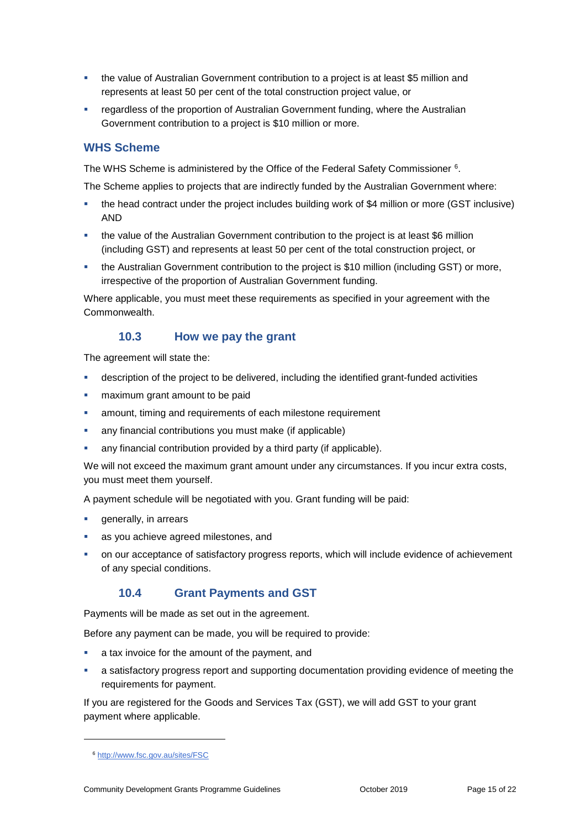- the value of Australian Government contribution to a project is at least \$5 million and represents at least 50 per cent of the total construction project value, or
- **•** regardless of the proportion of Australian Government funding, where the Australian Government contribution to a project is \$10 million or more.

#### **WHS Scheme**

The WHS Scheme is administered by the Office of the Federal Safety Commissioner <sup>6</sup> .

The Scheme applies to projects that are indirectly funded by the Australian Government where:

- the head contract under the project includes building work of \$4 million or more (GST inclusive) AND
- the value of the Australian Government contribution to the project is at least \$6 million (including GST) and represents at least 50 per cent of the total construction project, or
- the Australian Government contribution to the project is \$10 million (including GST) or more, irrespective of the proportion of Australian Government funding.

Where applicable, you must meet these requirements as specified in your agreement with the Commonwealth.

#### **10.3 How we pay the grant**

The agreement will state the:

- description of the project to be delivered, including the identified grant-funded activities
- maximum grant amount to be paid
- amount, timing and requirements of each milestone requirement
- any financial contributions you must make (if applicable)
- any financial contribution provided by a third party (if applicable).

We will not exceed the maximum grant amount under any circumstances. If you incur extra costs, you must meet them yourself.

A payment schedule will be negotiated with you. Grant funding will be paid:

- generally, in arrears
- as you achieve agreed milestones, and
- on our acceptance of satisfactory progress reports, which will include evidence of achievement of any special conditions.

#### **10.4 Grant Payments and GST**

Payments will be made as set out in the agreement.

Before any payment can be made, you will be required to provide:

- a tax invoice for the amount of the payment, and
- a satisfactory progress report and supporting documentation providing evidence of meeting the requirements for payment.

If you are registered for the Goods and Services Tax (GST), we will add GST to your grant payment where applicable.

1

<sup>6</sup> <http://www.fsc.gov.au/sites/FSC>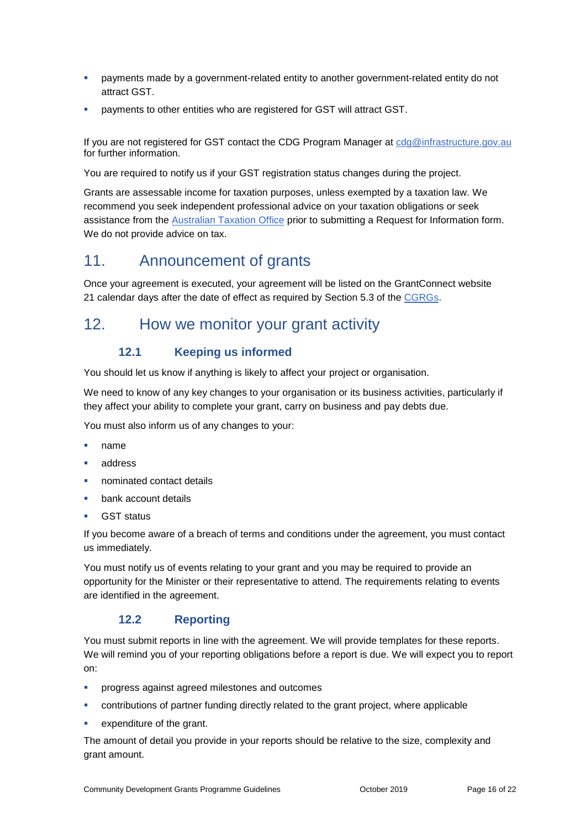- payments made by a government-related entity to another government-related entity do not attract GST.
- payments to other entities who are registered for GST will attract GST.

If you are not registered for GST contact the CDG Program Manager at [cdg@infrastructure.gov.au](mailto:cdg@infrastructure.gov.au) for further information.

You are required to notify us if your GST registration status changes during the project.

Grants are assessable income for taxation purposes, unless exempted by a taxation law. We recommend you seek independent professional advice on your taxation obligations or seek assistance from the [Australian Taxation Office](https://www.ato.gov.au/) prior to submitting a Request for Information form. We do not provide advice on tax.

## 11. Announcement of grants

Once your agreement is executed, your agreement will be listed on the GrantConnect website 21 calendar days after the date of effect as required by Section 5.3 of the [CGRGs.](http://cgrgs/)

## 12. How we monitor your grant activity

## **12.1 Keeping us informed**

You should let us know if anything is likely to affect your project or organisation.

We need to know of any key changes to your organisation or its business activities, particularly if they affect your ability to complete your grant, carry on business and pay debts due.

You must also inform us of any changes to your:

- name
- address
- nominated contact details
- bank account details
- **GST** status

If you become aware of a breach of terms and conditions under the agreement, you must contact us immediately.

You must notify us of events relating to your grant and you may be required to provide an opportunity for the Minister or their representative to attend. The requirements relating to events are identified in the agreement.

### **12.2 Reporting**

You must submit reports in line with the agreement. We will provide templates for these reports. We will remind you of your reporting obligations before a report is due. We will expect you to report on:

- progress against agreed milestones and outcomes
- contributions of partner funding directly related to the grant project, where applicable
- expenditure of the grant.

The amount of detail you provide in your reports should be relative to the size, complexity and grant amount.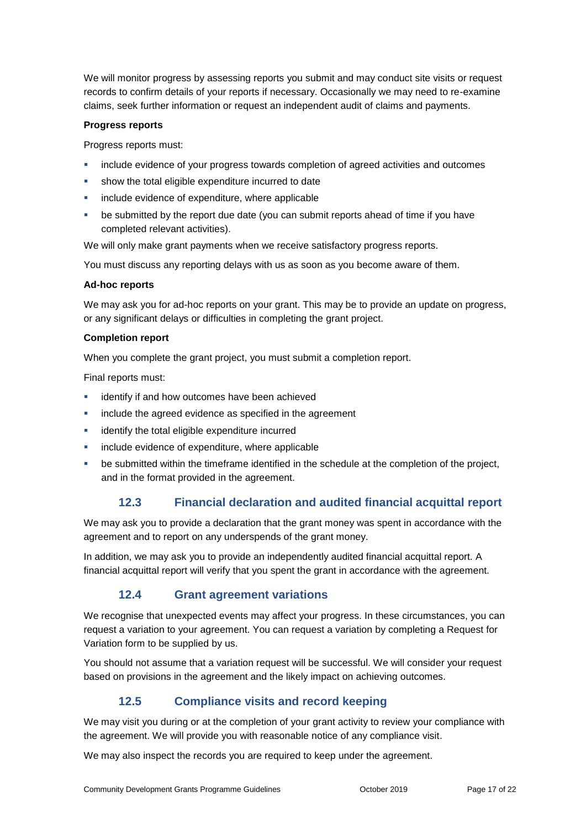We will monitor progress by assessing reports you submit and may conduct site visits or request records to confirm details of your reports if necessary. Occasionally we may need to re-examine claims, seek further information or request an independent audit of claims and payments.

#### **Progress reports**

Progress reports must:

- include evidence of your progress towards completion of agreed activities and outcomes
- show the total eligible expenditure incurred to date
- include evidence of expenditure, where applicable
- be submitted by the report due date (you can submit reports ahead of time if you have completed relevant activities).

We will only make grant payments when we receive satisfactory progress reports.

You must discuss any reporting delays with us as soon as you become aware of them.

#### **Ad-hoc reports**

We may ask you for ad-hoc reports on your grant. This may be to provide an update on progress, or any significant delays or difficulties in completing the grant project.

#### **Completion report**

When you complete the grant project, you must submit a completion report.

Final reports must:

- identify if and how outcomes have been achieved
- include the agreed evidence as specified in the agreement
- identify the total eligible expenditure incurred
- include evidence of expenditure, where applicable
- be submitted within the timeframe identified in the schedule at the completion of the project, and in the format provided in the agreement.

#### **12.3 Financial declaration and audited financial acquittal report**

We may ask you to provide a declaration that the grant money was spent in accordance with the agreement and to report on any underspends of the grant money.

In addition, we may ask you to provide an independently audited financial acquittal report. A financial acquittal report will verify that you spent the grant in accordance with the agreement.

#### **12.4 Grant agreement variations**

We recognise that unexpected events may affect your progress. In these circumstances, you can request a variation to your agreement. You can request a variation by completing a Request for Variation form to be supplied by us.

You should not assume that a variation request will be successful. We will consider your request based on provisions in the agreement and the likely impact on achieving outcomes.

#### **12.5 Compliance visits and record keeping**

We may visit you during or at the completion of your grant activity to review your compliance with the agreement. We will provide you with reasonable notice of any compliance visit.

We may also inspect the records you are required to keep under the agreement.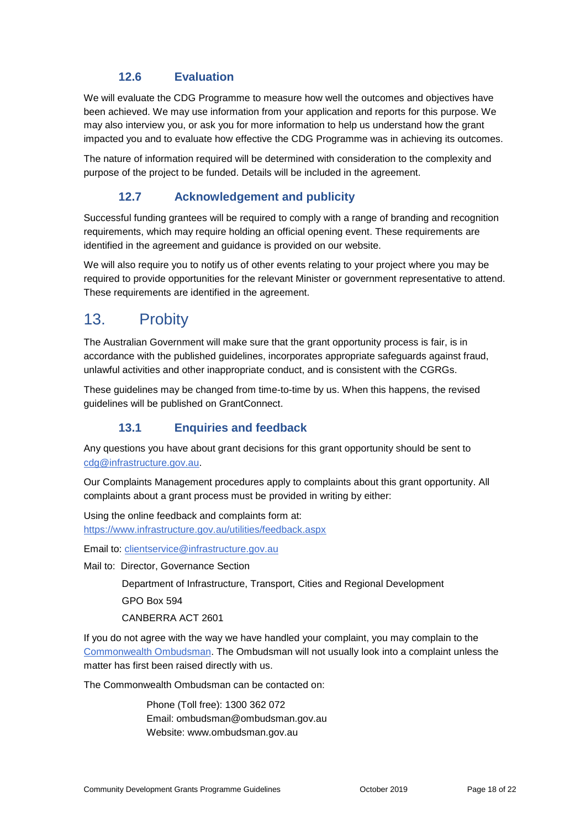### **12.6 Evaluation**

We will evaluate the CDG Programme to measure how well the outcomes and objectives have been achieved. We may use information from your application and reports for this purpose. We may also interview you, or ask you for more information to help us understand how the grant impacted you and to evaluate how effective the CDG Programme was in achieving its outcomes.

The nature of information required will be determined with consideration to the complexity and purpose of the project to be funded. Details will be included in the agreement.

### **12.7 Acknowledgement and publicity**

Successful funding grantees will be required to comply with a range of branding and recognition requirements, which may require holding an official opening event. These requirements are identified in the agreement and guidance is provided on our website.

We will also require you to notify us of other events relating to your project where you may be required to provide opportunities for the relevant Minister or government representative to attend. These requirements are identified in the agreement.

## 13. Probity

The Australian Government will make sure that the grant opportunity process is fair, is in accordance with the published guidelines, incorporates appropriate safeguards against fraud, unlawful activities and other inappropriate conduct, and is consistent with the CGRGs.

These guidelines may be changed from time-to-time by us. When this happens, the revised guidelines will be published on GrantConnect.

### **13.1 Enquiries and feedback**

Any questions you have about grant decisions for this grant opportunity should be sent to [cdg@infrastructure.gov.au.](mailto:cdg@infrastructure.gov.au)

Our Complaints Management procedures apply to complaints about this grant opportunity. All complaints about a grant process must be provided in writing by either:

Using the online feedback and complaints form at: <https://www.infrastructure.gov.au/utilities/feedback.aspx>

Email to: [clientservice@infrastructure.gov.au](mailto:clientservice@infrastructure.gov.au)

Mail to: Director, Governance Section

Department of Infrastructure, Transport, Cities and Regional Development

GPO Box 594

CANBERRA ACT 2601

If you do not agree with the way we have handled your complaint, you may complain to the [Commonwealth Ombudsman.](http://www.ombudsman.gov.au/) The Ombudsman will not usually look into a complaint unless the matter has first been raised directly with us.

The Commonwealth Ombudsman can be contacted on:

Phone (Toll free): 1300 362 072 Email: [ombudsman@ombudsman.gov.au](mailto:ombudsman@ombudsman.gov.au) Website: [www.ombudsman.gov.au](http://www.ombudsman.gov.au/)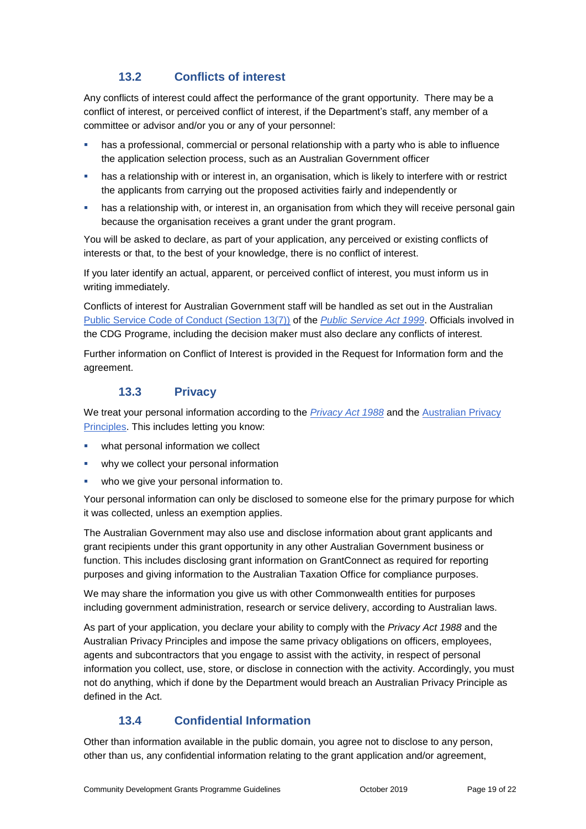## **13.2 Conflicts of interest**

Any conflicts of interest could affect the performance of the grant opportunity. There may be a [conflict of interest,](http://www.apsc.gov.au/publications-and-media/current-publications/aps-values-and-code-of-conduct-in-practice/conflict-of-interest) or perceived conflict of interest, if the Department's staff, any member of a committee or advisor and/or you or any of your personnel:

- has a professional, commercial or personal relationship with a party who is able to influence the application selection process, such as an Australian Government officer
- has a relationship with or interest in, an organisation, which is likely to interfere with or restrict the applicants from carrying out the proposed activities fairly and independently or
- has a relationship with, or interest in, an organisation from which they will receive personal gain because the organisation receives a grant under the grant program.

You will be asked to declare, as part of your application, any perceived or existing conflicts of interests or that, to the best of your knowledge, there is no conflict of interest.

If you later identify an actual, apparent, or perceived conflict of interest, you must inform us in writing immediately.

Conflicts of interest for Australian Government staff will be handled as set out in the Australian [Public Service Code of Conduct \(Section 13\(7\)\)](http://www8.austlii.edu.au/cgi-bin/viewdoc/au/legis/cth/consol_act/psa1999152/s13.html) of the *[Public Service Act 1999](https://www.legislation.gov.au/Series/C2004A00538)*. Officials involved in the CDG Programe, including the decision maker must also declare any conflicts of interest.

Further information on Conflict of Interest is provided in the Request for Information form and the agreement.

### **13.3 Privacy**

We treat your personal information according to the *[Privacy Act 1988](https://www.legislation.gov.au/Details/C2014C00076)* and the [Australian Privacy](https://www.oaic.gov.au/privacy-law/privacy-act/australian-privacy-principles)  [Principles.](https://www.oaic.gov.au/privacy-law/privacy-act/australian-privacy-principles) This includes letting you know:

- what personal information we collect
- why we collect your personal information
- who we give your personal information to.

Your personal information can only be disclosed to someone else for the primary purpose for which it was collected, unless an exemption applies.

The Australian Government may also use and disclose information about grant applicants and grant recipients under this grant opportunity in any other Australian Government business or function. This includes disclosing grant information on GrantConnect as required for reporting purposes and giving information to the Australian Taxation Office for compliance purposes.

We may share the information you give us with other Commonwealth entities for purposes including government administration, research or service delivery, according to Australian laws.

As part of your application, you declare your ability to comply with the *Privacy Act 1988* and the Australian Privacy Principles and impose the same privacy obligations on officers, employees, agents and subcontractors that you engage to assist with the activity, in respect of personal information you collect, use, store, or disclose in connection with the activity. Accordingly, you must not do anything, which if done by the Department would breach an Australian Privacy Principle as defined in the Act.

## **13.4 Confidential Information**

Other than information available in the public domain, you agree not to disclose to any person, other than us, any confidential information relating to the grant application and/or agreement,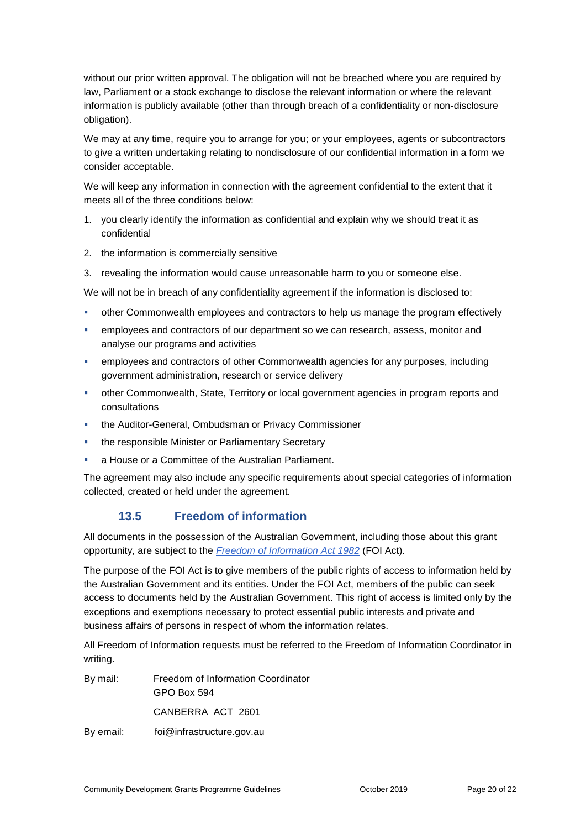without our prior written approval. The obligation will not be breached where you are required by law, Parliament or a stock exchange to disclose the relevant information or where the relevant information is publicly available (other than through breach of a confidentiality or non-disclosure obligation).

We may at any time, require you to arrange for you; or your employees, agents or subcontractors to give a written undertaking relating to nondisclosure of our confidential information in a form we consider acceptable.

We will keep any information in connection with the agreement confidential to the extent that it meets all of the three conditions below:

- 1. you clearly identify the information as confidential and explain why we should treat it as confidential
- 2. the information is commercially sensitive
- 3. revealing the information would cause unreasonable harm to you or someone else.

We will not be in breach of any confidentiality agreement if the information is disclosed to:

- other Commonwealth employees and contractors to help us manage the program effectively
- employees and contractors of our department so we can research, assess, monitor and analyse our programs and activities
- employees and contractors of other Commonwealth agencies for any purposes, including government administration, research or service delivery
- other Commonwealth, State, Territory or local government agencies in program reports and consultations
- **the Auditor-General, Ombudsman or Privacy Commissioner**
- the responsible Minister or Parliamentary Secretary
- a House or a Committee of the Australian Parliament.

The agreement may also include any specific requirements about special categories of information collected, created or held under the agreement.

#### **13.5 Freedom of information**

All documents in the possession of the Australian Government, including those about this grant opportunity, are subject to the *[Freedom of Information Act 1982](https://www.legislation.gov.au/Series/C2004A02562)* (FOI Act)*.*

The purpose of the FOI Act is to give members of the public rights of access to information held by the Australian Government and its entities. Under the FOI Act, members of the public can seek access to documents held by the Australian Government. This right of access is limited only by the exceptions and exemptions necessary to protect essential public interests and private and business affairs of persons in respect of whom the information relates.

All Freedom of Information requests must be referred to the Freedom of Information Coordinator in writing.

By mail: Freedom of Information Coordinator GPO Box 594 CANBERRA ACT 2601 By email: foi@infrastructure.gov.au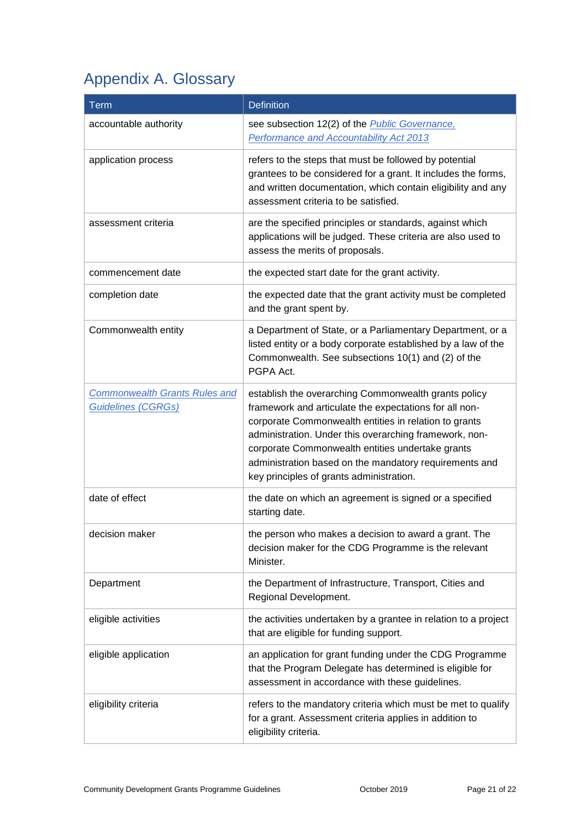## Appendix A. Glossary

| <b>Term</b>                                                       | <b>Definition</b>                                                                                                                                                                                                                                                                                                                                                                           |
|-------------------------------------------------------------------|---------------------------------------------------------------------------------------------------------------------------------------------------------------------------------------------------------------------------------------------------------------------------------------------------------------------------------------------------------------------------------------------|
| accountable authority                                             | see subsection 12(2) of the <b>Public Governance</b> ,<br>Performance and Accountability Act 2013                                                                                                                                                                                                                                                                                           |
| application process                                               | refers to the steps that must be followed by potential<br>grantees to be considered for a grant. It includes the forms,<br>and written documentation, which contain eligibility and any<br>assessment criteria to be satisfied.                                                                                                                                                             |
| assessment criteria                                               | are the specified principles or standards, against which<br>applications will be judged. These criteria are also used to<br>assess the merits of proposals.                                                                                                                                                                                                                                 |
| commencement date                                                 | the expected start date for the grant activity.                                                                                                                                                                                                                                                                                                                                             |
| completion date                                                   | the expected date that the grant activity must be completed<br>and the grant spent by.                                                                                                                                                                                                                                                                                                      |
| Commonwealth entity                                               | a Department of State, or a Parliamentary Department, or a<br>listed entity or a body corporate established by a law of the<br>Commonwealth. See subsections 10(1) and (2) of the<br>PGPA Act.                                                                                                                                                                                              |
| <b>Commonwealth Grants Rules and</b><br><b>Guidelines (CGRGs)</b> | establish the overarching Commonwealth grants policy<br>framework and articulate the expectations for all non-<br>corporate Commonwealth entities in relation to grants<br>administration. Under this overarching framework, non-<br>corporate Commonwealth entities undertake grants<br>administration based on the mandatory requirements and<br>key principles of grants administration. |
| date of effect                                                    | the date on which an agreement is signed or a specified<br>starting date.                                                                                                                                                                                                                                                                                                                   |
| decision maker                                                    | the person who makes a decision to award a grant. The<br>decision maker for the CDG Programme is the relevant<br>Minister.                                                                                                                                                                                                                                                                  |
| Department                                                        | the Department of Infrastructure, Transport, Cities and<br>Regional Development.                                                                                                                                                                                                                                                                                                            |
| eligible activities                                               | the activities undertaken by a grantee in relation to a project<br>that are eligible for funding support.                                                                                                                                                                                                                                                                                   |
| eligible application                                              | an application for grant funding under the CDG Programme<br>that the Program Delegate has determined is eligible for<br>assessment in accordance with these guidelines.                                                                                                                                                                                                                     |
| eligibility criteria                                              | refers to the mandatory criteria which must be met to qualify<br>for a grant. Assessment criteria applies in addition to<br>eligibility criteria.                                                                                                                                                                                                                                           |